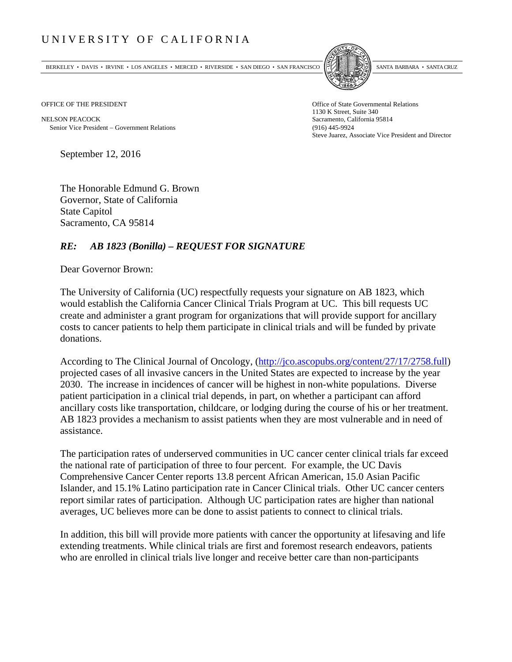## UNIVERSITY OF CALIFORNIA

BERKELEY • DAVIS • IRVINE • LOS ANGELES • MERCED • RIVERSIDE • SAN DIEGO • SAN FRANCISCO SANTA BARBARA • SANTA CRUZ



OFFICE OF THE PRESIDENT STATES OF THE PRESIDENT

NELSON PEACOCK Sacramento, California 95814 Senior Vice President Government Relations (916) 445-9924

1130 K Street, Suite 340 Steve Juarez, Associate Vice President and Director

September 12, 2016

The Honorable Edmund G. Brown Governor, State of California State Capitol Sacramento, CA 95814

## *RE: AB 1823 (Bonilla) – REQUEST FOR SIGNATURE*

Dear Governor Brown:

The University of California (UC) respectfully requests your signature on AB 1823, which would establish the California Cancer Clinical Trials Program at UC. This bill requests UC create and administer a grant program for organizations that will provide support for ancillary costs to cancer patients to help them participate in clinical trials and will be funded by private donations.

According to The Clinical Journal of Oncology, (http://jco.ascopubs.org/content/27/17/2758.full) projected cases of all invasive cancers in the United States are expected to increase by the year 2030. The increase in incidences of cancer will be highest in non-white populations. Diverse patient participation in a clinical trial depends, in part, on whether a participant can afford ancillary costs like transportation, childcare, or lodging during the course of his or her treatment. AB 1823 provides a mechanism to assist patients when they are most vulnerable and in need of assistance.

The participation rates of underserved communities in UC cancer center clinical trials far exceed the national rate of participation of three to four percent. For example, the UC Davis Comprehensive Cancer Center reports 13.8 percent African American, 15.0 Asian Pacific Islander, and 15.1% Latino participation rate in Cancer Clinical trials. Other UC cancer centers report similar rates of participation. Although UC participation rates are higher than national averages, UC believes more can be done to assist patients to connect to clinical trials.

In addition, this bill will provide more patients with cancer the opportunity at lifesaving and life extending treatments. While clinical trials are first and foremost research endeavors, patients who are enrolled in clinical trials live longer and receive better care than non-participants